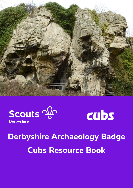





# **Derbyshire Archaeology Badge Cubs Resource Book**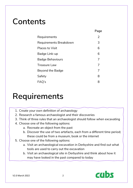## **Contents**

|                         | Page           |
|-------------------------|----------------|
| Requirements            | $\overline{2}$ |
| Requirements Breakdown  | 3              |
| <b>Places to Visit</b>  | 6              |
| Badge Link-up           | 6              |
| <b>Badge Behaviours</b> | 7              |
| <b>Treasure Law</b>     | 7              |
| <b>Beyond the Badge</b> | 7              |
| Safety                  | 8              |
| FAQ's                   | 8              |

## **Requirements**

- 1. Create your own definition of archaeology
- 2. Research a famous archaeologist and their discoveries
- 3. Think of three rules that an archaeologist should follow when excavating
- 4. Choose one of the following options:
	- a. Recreate an object from the past
	- b. Discover the use of two artefacts, each from a different time period; these could be from a museum, book or the internet
- 5. Choose one of the following options:
	- a. Visit an archaeological excavation in Derbyshire and find out what tools are used to carry out the excavation
	- b. Visit an archaeological site in Derbyshire and think about how it may have looked in the past compared to today

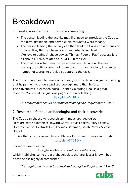## **Breakdown**

### **1. Create your own definition of archaeology**

- The person leading the activity may first need to introduce the Cubs to the term 'definition' and how it explains what a word means.
- The person leading the activity can then lead the Cubs into a discussion of what they think archaeology is, and what is involved. We love to define Archaeology as 'Things∙People∙Past' because it is all about THINGS related to PEOPLE in the PAST.
- The final task is for them to create their own definition. The person leading the activity could ask them to sum up archaeology in a limited number of words, to provide structure to the task.

The Cubs do not need to create a dictionary worthy definition, just something that helps them to understand archaeology, more than before. The Adventures in Archaeological Science Colouring Book is a great resource. You could use just one page or the whole thing:

<https://bit.ly/2Htfz2J>

This requirement could be completed alongside Requirement 2 or 3

### **2. Research a famous archaeologist and their discoveries**

The Cubs can choose to research any famous archaeologist. Here are some examples: Howard Carter, Louis Leakey, Mary Leakey, Dorothy Garrod, Gertrude bell, Thomas Bateman, Sarah Parcak & Zelia Nuttall

See the Time Travelling Trowel Blazers Info sheet for more information: <https://bit.ly/37016sk>

For more examples see:

https://trowelblazers.com/category/articles/ which highlights some great archaeologists that are 'lesser known' but nevertheless highly accomplished.

This requirement could be completed alongside Requirement 1 or 3



V2.0 March 2022 3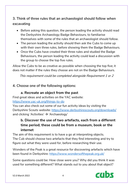### **3. Think of three rules that an archaeologist should follow when excavating**

- Before asking this question, the person leading the activity should read the Derbyshire Archaeology Badge Behaviours, to familiarise themselves with some of the rules that an archaeologist should follow.
- The person leading the activity should then ask the Cubs to come up with their own three rules, before showing them the Badge Behaviours.
- Once the Cubs have created their three rules and studied the Badge Behaviours, the person leading the activity could lead a discussion with the group to choose the top five rules.

Allow the Cubs to be as creative as possible when choosing the top five; it does not matter if the rules they choose are not on the Badge Behaviours.

This requirement could be completed alongside Requirement 1 or 2

### **4. Choose one of the following options:**

### **a. Recreate an object from the past**

Find great ideas and activities on the YAC website:

#### <https://www.yac-uk.org/things-to-do>

You can also check out some of our fun activity ideas by visiting the Derbyshire Scouts website:<https://www.derbyshirescouts.org/downloads/> and clicking 'Activities'  $\rightarrow$  'Archaeology'

### **b. Discover the use of two artefacts, each from a different time period; these could be from a museum, book or the internet**

The aim of this requirement is to have a go at interpreting objects. The Cub should choose two artefacts that they find interesting and try to figure out what they were used for, before researching their use.

Wonders of the Peak is a great resource for discovering artefacts which have been found in Derbyshire:<https://www.wondersofthepeak.org.uk/>

Some questions could be: How close were you? Why did you think it was used for something different? What stands out to you about that object?

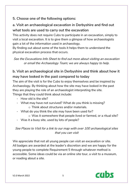### **5. Choose one of the following options:**

### **a. Visit an archaeological excavation in Derbyshire and find out what tools are used to carry out the excavation**

This activity does not require Cubs to participate in an excavation, simply to visit a local excavation. It is to give them a glimpse of how archaeologists gain a lot of the information used in archaeology.

By finding out about some of the tools it helps them to understand the physical excavation process that occurs.

See the Excavations Info Sheet to find out more about visiting an excavation or email the Archaeology Team; we are always happy to help.

### **b. Visit an archaeological site in Derbyshire and think about how it may have looked in the past compared to today**

The aim of the visit is for the Cubs to enjoy themselves and be inspired by Archaeology. By thinking about how the site may have looked in the past they are playing the role of an archaeologist interpreting the site. Things that they could think about include:

- How old is the site?
- What may have not survived? What do you think is missing?
	- o Think about structures and/or materials.
- What do you think the site may have been used for?
	- o Was it somewhere that people lived or farmed, or a ritual site?
- Was it a busy site, used by lots of people?

See Places to Visit for a link to our map with over 100 archaeological sites that you can visit

We appreciate that not all young people can visit an excavation or site. All badges are awarded at the leader's discretion and we are happy for the young people to complete Requirement 5 through whatever method is accessible. Some ideas could be via an online site tour, a visit to a museum, or reading about a site.

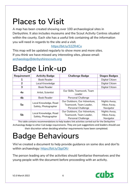## **Places to Visit**

A map has been created showing over 100 archaeological sites in Derbyshire. It also includes museums and the Scout Activity Centres situated within the county. Each site has a useful link containing all the information you will need in regards to the site and a visit.

### <https://bit.ly/32ZR4Cx>

This map will be updated regularly to show more and more sites. If you think we have missed any interesting sites, please email: [archaeology@derbyshirescouts.org](mailto:archaeology@derbyshirescouts.org)

## **Badge Link-up**

| Requirement    | <b>Activity Badge</b>                         | <b>Challenge Badge</b>                                                              | <b>Stages Badges</b>                     |
|----------------|-----------------------------------------------|-------------------------------------------------------------------------------------|------------------------------------------|
| 1              | <b>Book Reader</b>                            |                                                                                     | Digital Citizen                          |
| $\overline{2}$ | Local Knowledge                               |                                                                                     | Digital Citizen                          |
| 3              | <b>Book Reader</b>                            |                                                                                     | Digital Citizen                          |
| 4a             | Artist, Scientist                             | Our Skills, Teamwork, Team<br>Leader                                                |                                          |
| 4 <sub>b</sub> | <b>Book Reader</b>                            | <b>Personal Challenge</b>                                                           |                                          |
| 5a             | Local Knowledge, Road<br>Safety, Photographer | Our Outdoors, Our Adventure,<br>Teamwork, Team Leader,<br><b>Personal Challenge</b> | Nights Away,<br>Hikes Away,<br>Navigator |
| 5 <sub>b</sub> | Local Knowledge, Road<br>Safety, Photographer | Our Outdoors, Our Adventure,<br>Teamwork, Team Leader,<br><b>Personal Challenge</b> | Nights Away,<br>Hikes Away,<br>Navigator |

This table contains recommendations to help leaders link activities carried out for the Derbyshire Archaeology Badge to other Cub badge requirements. They are just suggestions and leaders should use their discretion when deciding whether requirements have been completed.

## **Badge Behaviours**

We've created a document to help provide guidance on some dos and don'ts within archaeology: https://bit.ly/3jgiOKr

The person leading any of the activities should familiarise themselves and the young people with the document before proceeding with an activity.

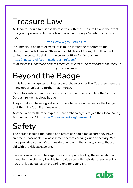## **Treasure Law**

All leaders should familiarise themselves with the Treasure Law in the event of a young person finding an object, whether during a Scouting activity or not.

### <https://www.gov.uk/treasure>

In summary, if an item of treasure is found it must be reported to the Derbyshire Finds Liaison Officer within 14 days of finding it. Follow the link to find the contact details of the current officer for Derbyshire:

<https://finds.org.uk/counties/derbyshire/team/>

In most cases, Treasure denotes metallic objects but it is important to check if you are unsure.

## **Beyond the Badge**

If this badge has ignited an interest in archaeology for the Cub, then there are many opportunities to further that interest.

Most obviously, when they join Scouts they can then complete the Scouts Derbyshire Archaeology badge.

They could also have a go at any of the alternative activities for the badge that they didn't do first time round.

Another way for them to explore more archaeology is to join their local Young Archaeologists' Club.<https://www.yac-uk.org/join-a-club>

## **Safety**

The person leading the badge and activities should make sure they have created a reasonable risk assessment before carrying out any activity. We have provided some safety considerations with the activity sheets that can aid with the risk assessment.

Excavations or Sites: The organisation/company leading the excavation or managing the site may be able to provide you with their risk assessment or if not, provide guidance on preparing one for your visit.



V2.0 March 2022 7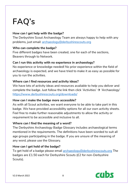## **FAQ's**

### **How can I get help with the badge?**

The Derbyshire Scout Archaeology Team are always happy to help with any problems, just email: [archaeology@derbyshirescouts.org](mailto:archaeology@derbyshirescouts.org)

#### **Who can complete the badge?**

Five different badges have been created, one for each of the sections, Beavers through to Network.

#### **Can I run this activity with no experience in archaeology?**

No experience or knowledge needed! No prior experience within the field of archaeology is expected, and we have tried to make it as easy as possible for you to run the activities.

#### **Where can I find resources and activity ideas?**

We have lots of activity ideas and resources available to help you deliver and complete the badge. Just follow the link then click 'Activities'  $\rightarrow$  'Archaeology' <https://www.derbyshirescouts.org/downloads/>

#### **How can I make the badge more accessible?**

As with all Scout activities, we want everyone to be able to take part in this badge. We have provided accessibility options for all our own activity sheets. Feel free to make further reasonable adjustments to allow the activity or requirement to be accessible and inclusive to all.

#### **Where can I find the meaning of a word?**

The Derbyshire Archaeology Badge Glossary includes archaeological terms mentioned in the requirements. The definitions have been worded to suit all age groups participating in the badge. If you are unsure of the meaning of any word, please use the Glossary.

#### **How can I get hold of the badge?**

To get hold of a badge please email [archaeology@derbyshirescouts.org](mailto:archaeology@derbyshirescouts.org) The badges are £1.50 each for Derbyshire Scouts (£2 for non-Derbyshire Scouts).